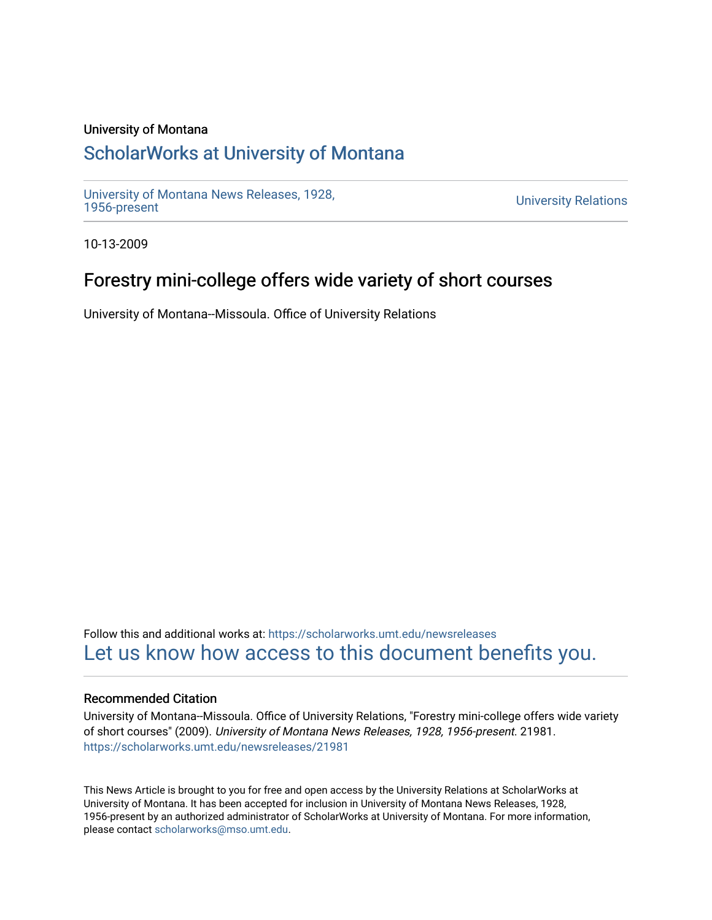### University of Montana

# [ScholarWorks at University of Montana](https://scholarworks.umt.edu/)

[University of Montana News Releases, 1928,](https://scholarworks.umt.edu/newsreleases) 

**University Relations** 

10-13-2009

# Forestry mini-college offers wide variety of short courses

University of Montana--Missoula. Office of University Relations

Follow this and additional works at: [https://scholarworks.umt.edu/newsreleases](https://scholarworks.umt.edu/newsreleases?utm_source=scholarworks.umt.edu%2Fnewsreleases%2F21981&utm_medium=PDF&utm_campaign=PDFCoverPages) [Let us know how access to this document benefits you.](https://goo.gl/forms/s2rGfXOLzz71qgsB2) 

#### Recommended Citation

University of Montana--Missoula. Office of University Relations, "Forestry mini-college offers wide variety of short courses" (2009). University of Montana News Releases, 1928, 1956-present. 21981. [https://scholarworks.umt.edu/newsreleases/21981](https://scholarworks.umt.edu/newsreleases/21981?utm_source=scholarworks.umt.edu%2Fnewsreleases%2F21981&utm_medium=PDF&utm_campaign=PDFCoverPages) 

This News Article is brought to you for free and open access by the University Relations at ScholarWorks at University of Montana. It has been accepted for inclusion in University of Montana News Releases, 1928, 1956-present by an authorized administrator of ScholarWorks at University of Montana. For more information, please contact [scholarworks@mso.umt.edu.](mailto:scholarworks@mso.umt.edu)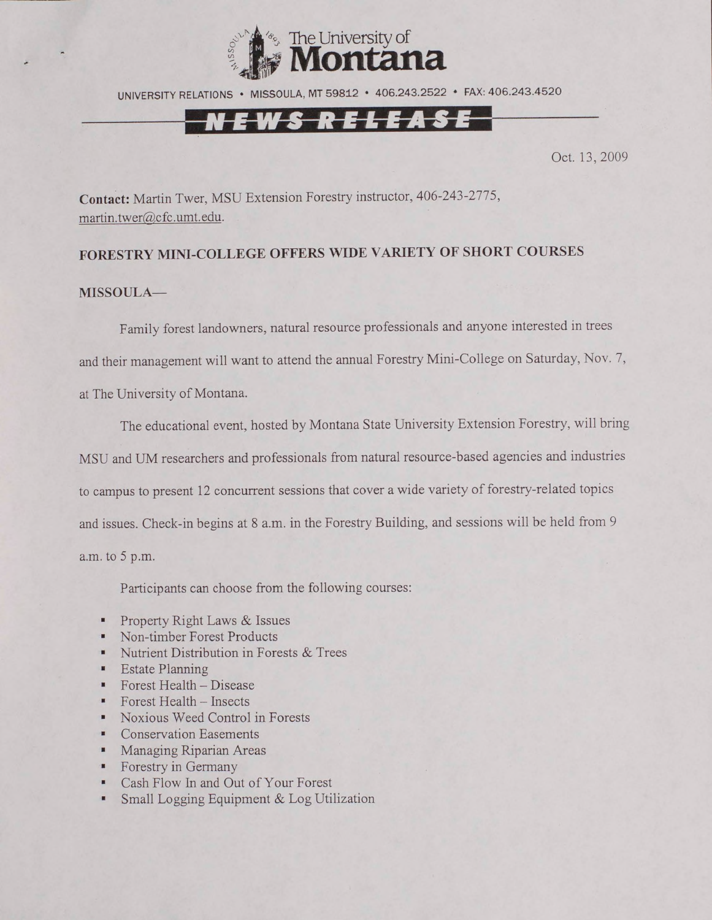

UNIVERSITY RELATIONS • MISSOULA, MT 59812 • 406.243.2522 • FAX: 406.243.4520

### <u>N E W S R E L E A S E</u>

Oct. 13,2009

**Contact:** Martin Twer, MSU Extension Forestry instructor, 406-243-2775, [martin.twer@cfc.umt.edu](mailto:martin.twer@cfc.umt.edu).

#### **FORESTRY MINI-COLLEGE OFFERS WIDE VARIETY OF SHORT COURSES**

#### **MISSOULA—**

Family forest landowners, natural resource professionals and anyone interested in trees and their management will want to attend the annual Forestry Mini-College on Saturday, Nov. 7, at The University of Montana.

The educational event, hosted by Montana State University Extension Forestry, will bring MSU and UM researchers and professionals from natural resource-based agencies and industries to campus to present 12 concurrent sessions that cover a wide variety of forestry-related topics and issues. Check-in begins at 8 a.m. in the Forestry Building, and sessions will be held from 9

a.m. to 5 p.m.

Participants can choose from the following courses:

- Property Right Laws & Issues
- Non-timber Forest Products
- Nutrient Distribution in Forests & Trees
- Estate Planning
- $\blacksquare$  Forest Health Disease
- Forest Health Insects
- Noxious Weed Control in Forests
- Conservation Easements
- Managing Riparian Areas
- Forestry in Germany
- Cash Flow In and Out of Your Forest
- Small Logging Equipment & Log Utilization